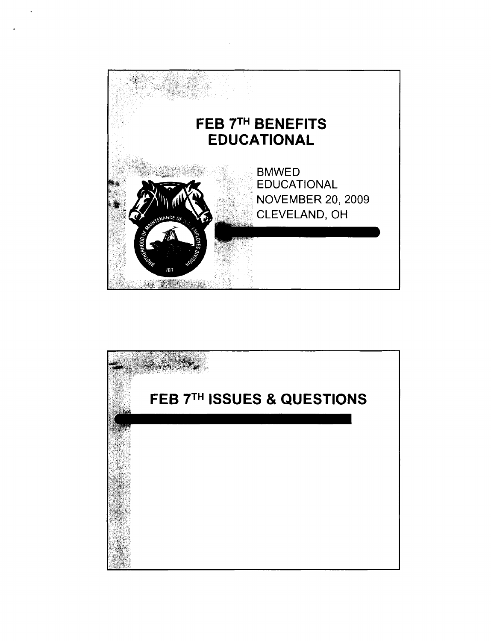

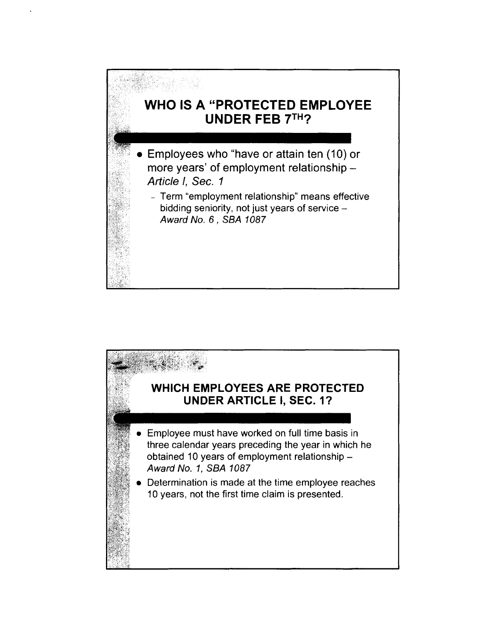

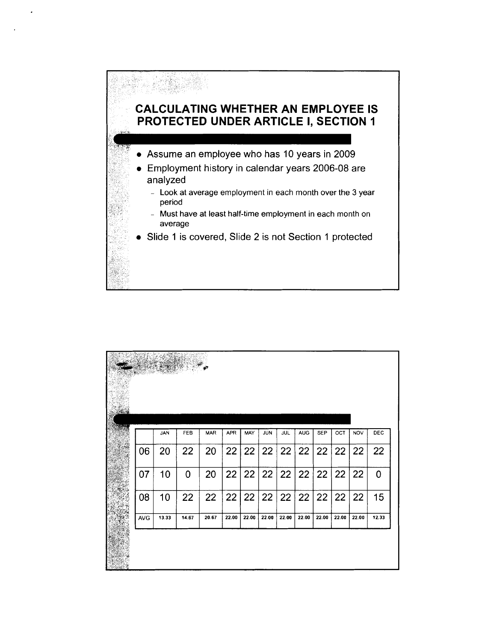

- **0** Assume an employee who has 10 years in 2009
- **0** Employment history in calendar years 2006-08 are analyzed
	- Look at average employment in each month over the 3 year period
	- Must have at least half-time employment in each month on average
- **0** Slide 1 is covered, Slide 2 is not Section 1 protected

|            | JAN   | FEB   | <b>MAR</b> | <b>APR</b> | MAY   | JUN   | <b>JUL</b> | <b>AUG</b> | <b>SEP</b> | OCT   | <b>NOV</b> | DEC   |
|------------|-------|-------|------------|------------|-------|-------|------------|------------|------------|-------|------------|-------|
| 06         | 20    | 22    | 20         | 22         | 22    | 22    | 22         | 22         | 22         | 22    | 22         | 22    |
| 07         | 10    | 0     | 20         | 22         | 22    | 22    | 22         | 22         | 22         | 22    | 22         | 0     |
| 08         | 10    | 22    | 22         | 22         | 22    | 22    | 22         | 22         | 22         | 22    | 22         | 15    |
| <b>AVG</b> | 13.33 | 14.67 | 20.67      | 22.00      | 22.00 | 22.00 | 22.00      | 22.00      | 22.00      | 22.00 | 22.00      | 12.33 |
|            |       |       |            |            |       |       |            |            |            |       |            |       |
|            |       |       |            |            |       |       |            |            |            |       |            |       |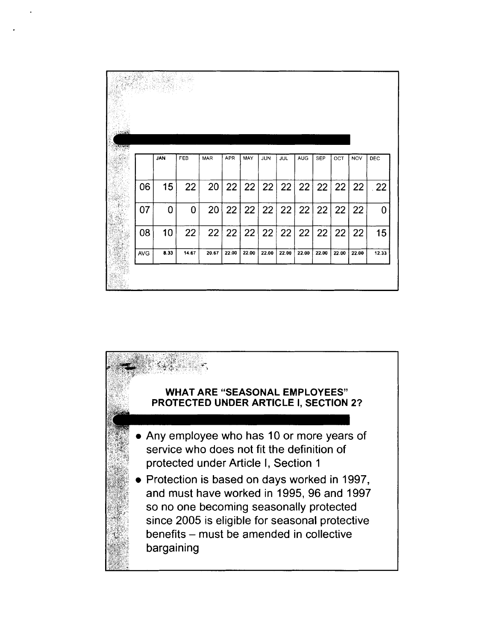| <b>SOCKAR</b><br>्रस्य देखक<br>जन्म |            |            |       |            |            |       |            |            |       |            |       |            |       |
|-------------------------------------|------------|------------|-------|------------|------------|-------|------------|------------|-------|------------|-------|------------|-------|
|                                     |            | <b>JAN</b> | FEB   | <b>MAR</b> | <b>APR</b> | MAY   | <b>JUN</b> | <b>JUL</b> | AUG   | <b>SEP</b> | OCT   | <b>NOV</b> | DEC   |
| 82                                  | 06         | 15         | 22    | 20         | 22         | 22    | 22         | 22         | 22    | 22         | 22    | 22         | 22    |
|                                     | 07         | 0          | 0     | 20         | 22         | 22    | 22         | 22         | 22    | 22         | 22    | 22         | 0     |
| ST.                                 | 08         | 10         | 22    | 22         | 22         | 22    | 22         | 22         | 22    | 22         | 22    | 22         | 15    |
|                                     | <b>AVG</b> | 8.33       | 14.67 | 20.67      | 22.00      | 22.00 | 22.00      | 22.00      | 22.00 | 22.00      | 22.00 | 22.00      | 12.33 |
|                                     |            |            |       |            |            |       |            |            |       |            |       |            |       |

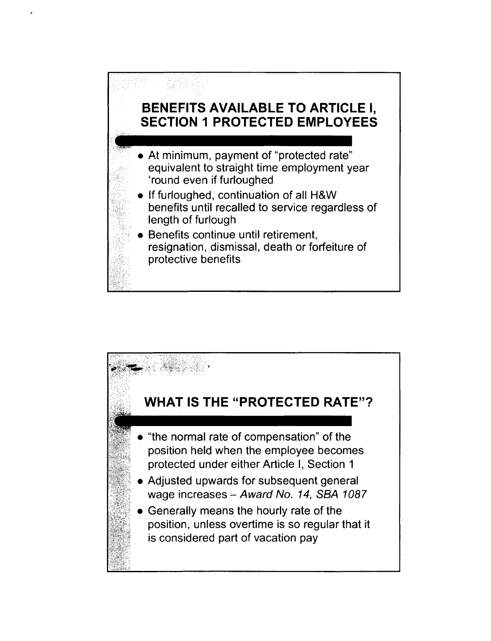## **BENEFITS AVAILABLE TO ARTICLE I, SECTION I PROTECTED EMPLOYEES**

- **0** At minimum, payment of "protected rate" equivalent to straight time employment year 'round even if furloughed
- **0** If furloughed, continuation of all H&W benefits until recalled to service regardless of length of furlough
- **0** Benefits continue until retirement, resignation, dismissal, death or forfeiture of protective benefits

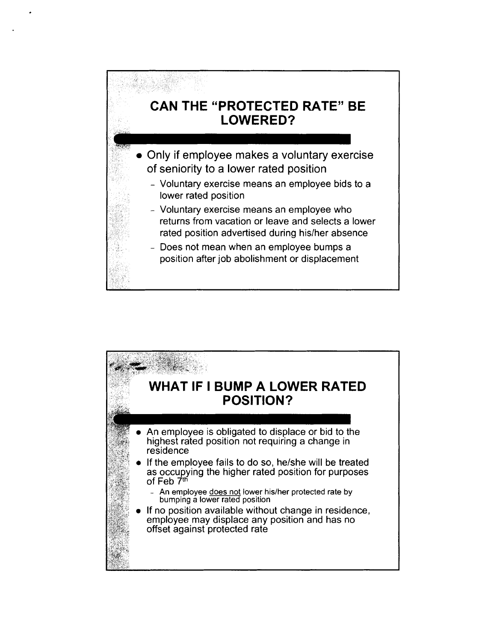## **CAN THE "PROTECTED RATE" BE LOWERED?**

- Only if employee makes a voluntary exercise of seniority to a lower rated position
	- Voluntary exercise means an employee bids to a lower rated position
	- Voluntary exercise means an employee who returns from vacation or leave and selects a lower rated position advertised during his/her absence
	- Does not mean when an employee bumps a position after job abolishment or displacement

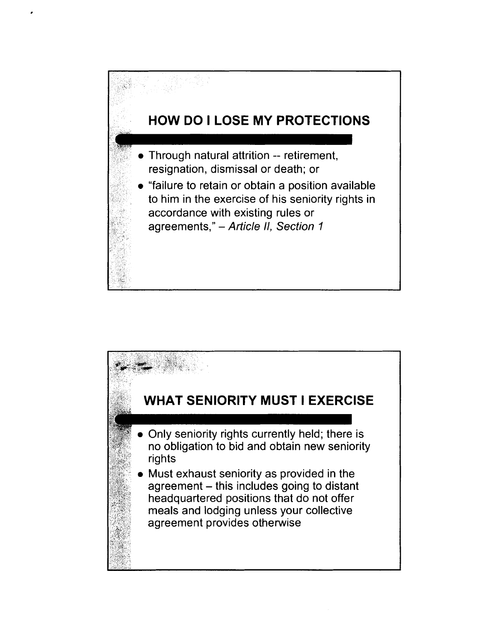

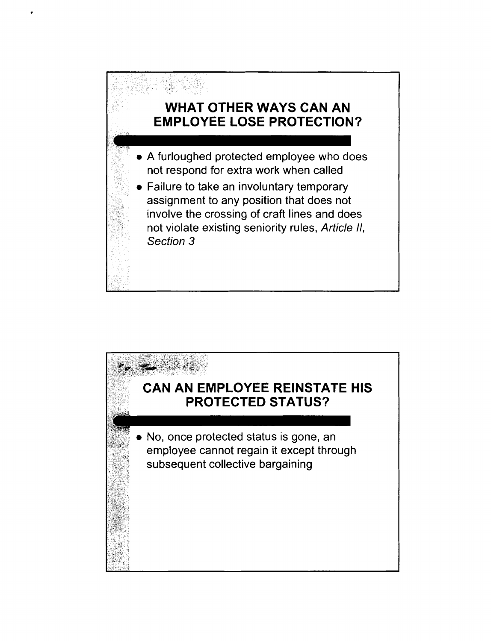

- A furloughed protected employee who does not respond for extra work when called
- Failure to take an involuntary temporary assignment to any position that does not involve the crossing of craft lines and does not violate existing seniority rules, Article II, Section 3